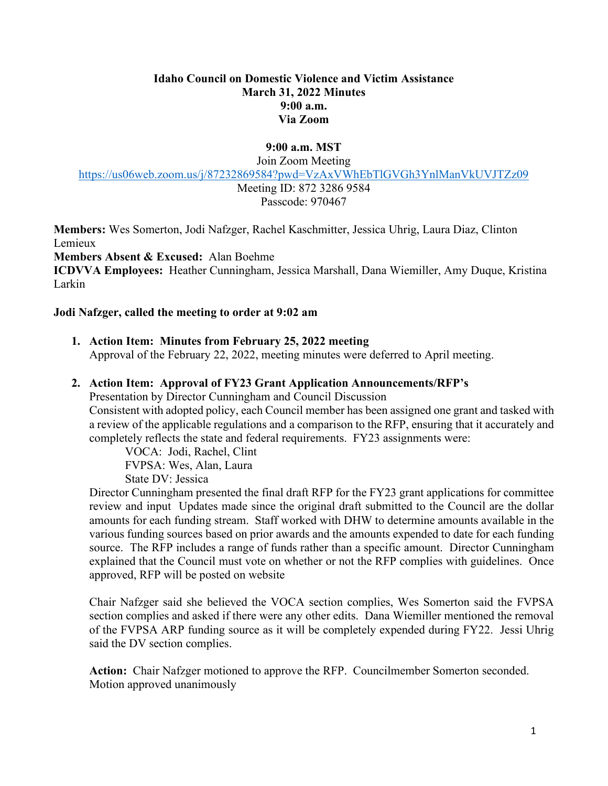#### **Idaho Council on Domestic Violence and Victim Assistance March 31, 2022 Minutes 9:00 a.m. Via Zoom**

# **9:00 a.m. MST**

Join Zoom Meeting

<https://us06web.zoom.us/j/87232869584?pwd=VzAxVWhEbTlGVGh3YnlManVkUVJTZz09>

Meeting ID: 872 3286 9584 Passcode: 970467

**Members:** Wes Somerton, Jodi Nafzger, Rachel Kaschmitter, Jessica Uhrig, Laura Diaz, Clinton Lemieux

**Members Absent & Excused:** Alan Boehme

**ICDVVA Employees:** Heather Cunningham, Jessica Marshall, Dana Wiemiller, Amy Duque, Kristina Larkin

### **Jodi Nafzger, called the meeting to order at 9:02 am**

### **1. Action Item: Minutes from February 25, 2022 meeting**

Approval of the February 22, 2022, meeting minutes were deferred to April meeting.

### **2. Action Item: Approval of FY23 Grant Application Announcements/RFP's**

Presentation by Director Cunningham and Council Discussion Consistent with adopted policy, each Council member has been assigned one grant and tasked with a review of the applicable regulations and a comparison to the RFP, ensuring that it accurately and completely reflects the state and federal requirements. FY23 assignments were:

VOCA: Jodi, Rachel, Clint FVPSA: Wes, Alan, Laura State DV: Jessica

Director Cunningham presented the final draft RFP for the FY23 grant applications for committee review and input Updates made since the original draft submitted to the Council are the dollar amounts for each funding stream. Staff worked with DHW to determine amounts available in the various funding sources based on prior awards and the amounts expended to date for each funding source. The RFP includes a range of funds rather than a specific amount. Director Cunningham explained that the Council must vote on whether or not the RFP complies with guidelines. Once approved, RFP will be posted on website

Chair Nafzger said she believed the VOCA section complies, Wes Somerton said the FVPSA section complies and asked if there were any other edits. Dana Wiemiller mentioned the removal of the FVPSA ARP funding source as it will be completely expended during FY22. Jessi Uhrig said the DV section complies.

**Action:** Chair Nafzger motioned to approve the RFP. Councilmember Somerton seconded. Motion approved unanimously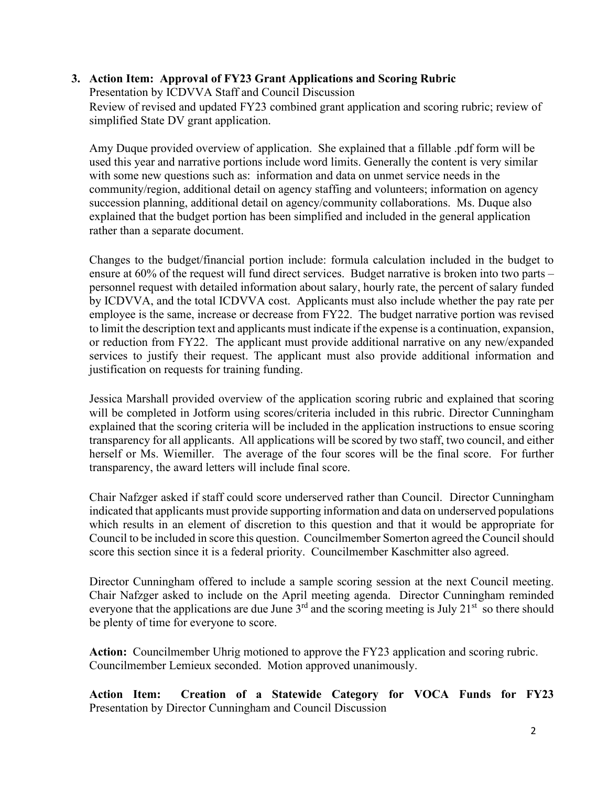# **3. Action Item: Approval of FY23 Grant Applications and Scoring Rubric**

Presentation by ICDVVA Staff and Council Discussion Review of revised and updated FY23 combined grant application and scoring rubric; review of simplified State DV grant application.

Amy Duque provided overview of application. She explained that a fillable .pdf form will be used this year and narrative portions include word limits. Generally the content is very similar with some new questions such as: information and data on unmet service needs in the community/region, additional detail on agency staffing and volunteers; information on agency succession planning, additional detail on agency/community collaborations. Ms. Duque also explained that the budget portion has been simplified and included in the general application rather than a separate document.

Changes to the budget/financial portion include: formula calculation included in the budget to ensure at 60% of the request will fund direct services. Budget narrative is broken into two parts – personnel request with detailed information about salary, hourly rate, the percent of salary funded by ICDVVA, and the total ICDVVA cost. Applicants must also include whether the pay rate per employee is the same, increase or decrease from FY22. The budget narrative portion was revised to limit the description text and applicants must indicate if the expense is a continuation, expansion, or reduction from FY22. The applicant must provide additional narrative on any new/expanded services to justify their request. The applicant must also provide additional information and justification on requests for training funding.

Jessica Marshall provided overview of the application scoring rubric and explained that scoring will be completed in Jotform using scores/criteria included in this rubric. Director Cunningham explained that the scoring criteria will be included in the application instructions to ensue scoring transparency for all applicants. All applications will be scored by two staff, two council, and either herself or Ms. Wiemiller. The average of the four scores will be the final score. For further transparency, the award letters will include final score.

Chair Nafzger asked if staff could score underserved rather than Council. Director Cunningham indicated that applicants must provide supporting information and data on underserved populations which results in an element of discretion to this question and that it would be appropriate for Council to be included in score this question. Councilmember Somerton agreed the Council should score this section since it is a federal priority. Councilmember Kaschmitter also agreed.

Director Cunningham offered to include a sample scoring session at the next Council meeting. Chair Nafzger asked to include on the April meeting agenda. Director Cunningham reminded everyone that the applications are due June  $3<sup>rd</sup>$  and the scoring meeting is July 21<sup>st</sup> so there should be plenty of time for everyone to score.

**Action:** Councilmember Uhrig motioned to approve the FY23 application and scoring rubric. Councilmember Lemieux seconded. Motion approved unanimously.

**Action Item: Creation of a Statewide Category for VOCA Funds for FY23**  Presentation by Director Cunningham and Council Discussion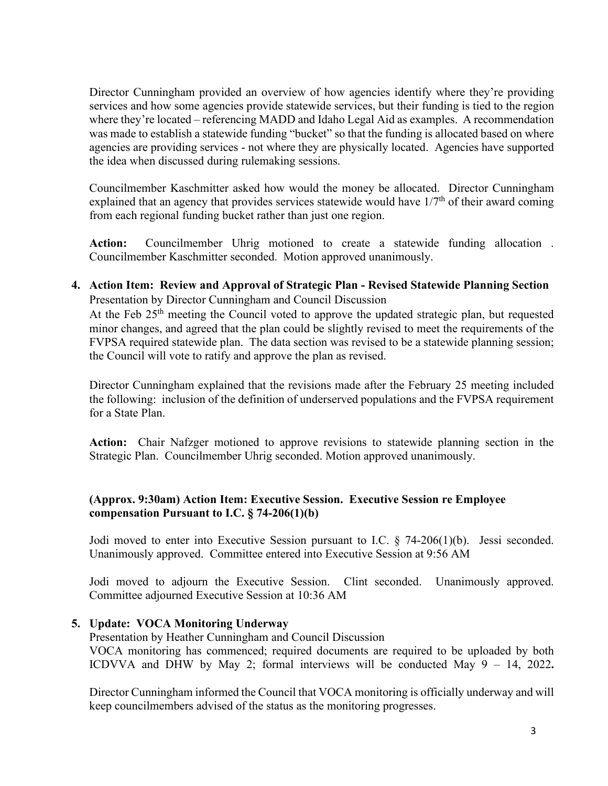Director Cunningham provided an overview of how agencies identify where they're providing services and how some agencies provide statewide services, but their funding is tied to the region where they're located – referencing MADD and Idaho Legal Aid as examples. A recommendation was made to establish a statewide funding "bucket" so that the funding is allocated based on where agencies are providing services - not where they are physically located. Agencies have supported the idea when discussed during rulemaking sessions.

Councilmember Kaschmitter asked how would the money be allocated. Director Cunningham explained that an agency that provides services statewide would have  $1/7<sup>th</sup>$  of their award coming from each regional funding bucket rather than just one region.

**Action:** Councilmember Uhrig motioned to create a statewide funding allocation . Councilmember Kaschmitter seconded. Motion approved unanimously.

**4. Action Item: Review and Approval of Strategic Plan - Revised Statewide Planning Section** Presentation by Director Cunningham and Council Discussion

At the Feb 25<sup>th</sup> meeting the Council voted to approve the updated strategic plan, but requested minor changes, and agreed that the plan could be slightly revised to meet the requirements of the FVPSA required statewide plan. The data section was revised to be a statewide planning session; the Council will vote to ratify and approve the plan as revised.

Director Cunningham explained that the revisions made after the February 25 meeting included the following: inclusion of the definition of underserved populations and the FVPSA requirement for a State Plan.

**Action:** Chair Nafzger motioned to approve revisions to statewide planning section in the Strategic Plan. Councilmember Uhrig seconded. Motion approved unanimously.

# **(Approx. 9:30am) Action Item: Executive Session. Executive Session re Employee compensation Pursuant to I.C. § 74-206(1)(b)**

Jodi moved to enter into Executive Session pursuant to I.C. § 74-206(1)(b). Jessi seconded. Unanimously approved. Committee entered into Executive Session at 9:56 AM

Jodi moved to adjourn the Executive Session. Clint seconded. Unanimously approved. Committee adjourned Executive Session at 10:36 AM

# **5. Update: VOCA Monitoring Underway**

Presentation by Heather Cunningham and Council Discussion VOCA monitoring has commenced; required documents are required to be uploaded by both ICDVVA and DHW by May 2; formal interviews will be conducted May 9 – 14, 2022**.** 

Director Cunningham informed the Council that VOCA monitoring is officially underway and will keep councilmembers advised of the status as the monitoring progresses.